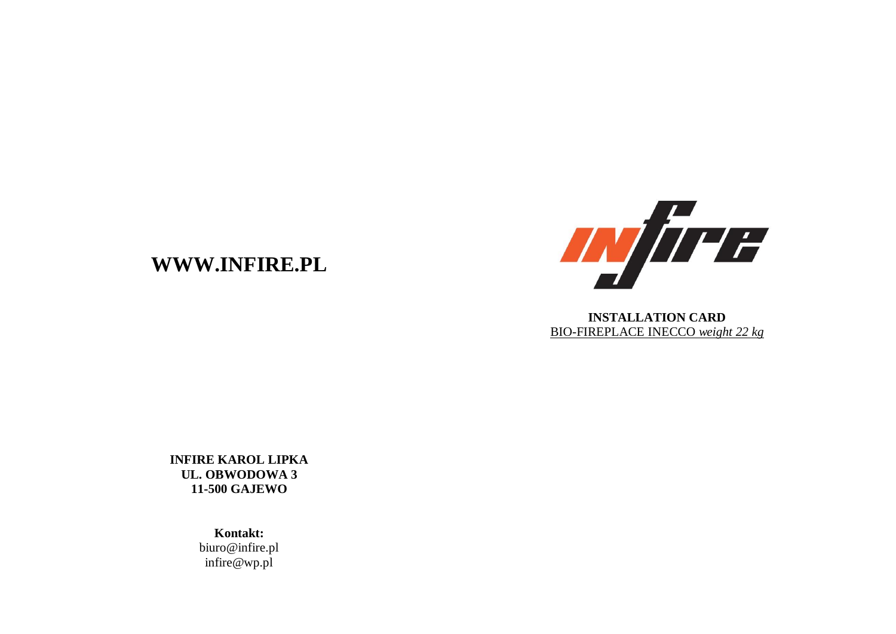## **WWW.INFIRE.PL**



**INSTALLATION CARD** BIO-FIREPLACE INECCO *weight 22 kg*

**INFIRE KAROL LIPKA UL. OBWODOWA 3 11-500 GAJEWO**

> **Kontakt:** biuro@infire.pl infire@wp.pl